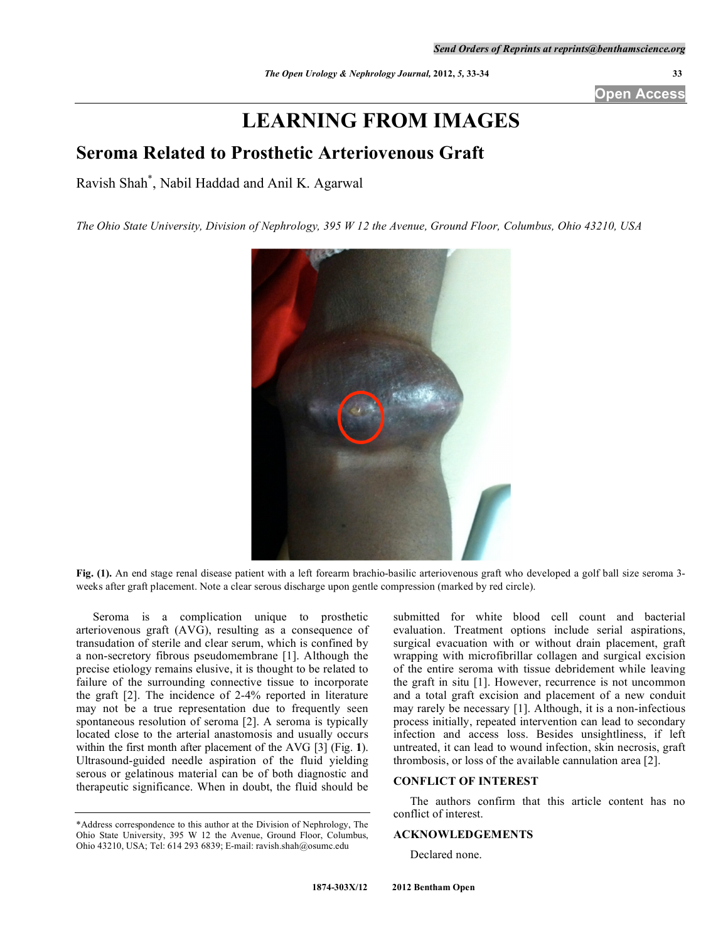**Open Access** 

# **LEARNING FROM IMAGES**

# **Seroma Related to Prosthetic Arteriovenous Graft**

Ravish Shah\* , Nabil Haddad and Anil K. Agarwal

*The Ohio State University, Division of Nephrology, 395 W 12 the Avenue, Ground Floor, Columbus, Ohio 43210, USA* 



**Fig. (1).** An end stage renal disease patient with a left forearm brachio-basilic arteriovenous graft who developed a golf ball size seroma 3 weeks after graft placement. Note a clear serous discharge upon gentle compression (marked by red circle).

 Seroma is a complication unique to prosthetic arteriovenous graft (AVG), resulting as a consequence of transudation of sterile and clear serum, which is confined by a non-secretory fibrous pseudomembrane [1]. Although the precise etiology remains elusive, it is thought to be related to failure of the surrounding connective tissue to incorporate the graft [2]. The incidence of 2-4% reported in literature may not be a true representation due to frequently seen spontaneous resolution of seroma [2]. A seroma is typically located close to the arterial anastomosis and usually occurs within the first month after placement of the AVG [3] (Fig. **1**). Ultrasound-guided needle aspiration of the fluid yielding serous or gelatinous material can be of both diagnostic and therapeutic significance. When in doubt, the fluid should be

submitted for white blood cell count and bacterial evaluation. Treatment options include serial aspirations, surgical evacuation with or without drain placement, graft wrapping with microfibrillar collagen and surgical excision of the entire seroma with tissue debridement while leaving the graft in situ [1]. However, recurrence is not uncommon and a total graft excision and placement of a new conduit may rarely be necessary [1]. Although, it is a non-infectious process initially, repeated intervention can lead to secondary infection and access loss. Besides unsightliness, if left untreated, it can lead to wound infection, skin necrosis, graft thrombosis, or loss of the available cannulation area [2].

## **CONFLICT OF INTEREST**

 The authors confirm that this article content has no conflict of interest.

### **ACKNOWLEDGEMENTS**

Declared none.

<sup>\*</sup>Address correspondence to this author at the Division of Nephrology, The Ohio State University, 395 W 12 the Avenue, Ground Floor, Columbus, Ohio 43210, USA; Tel: 614 293 6839; E-mail: ravish.shah@osumc.edu